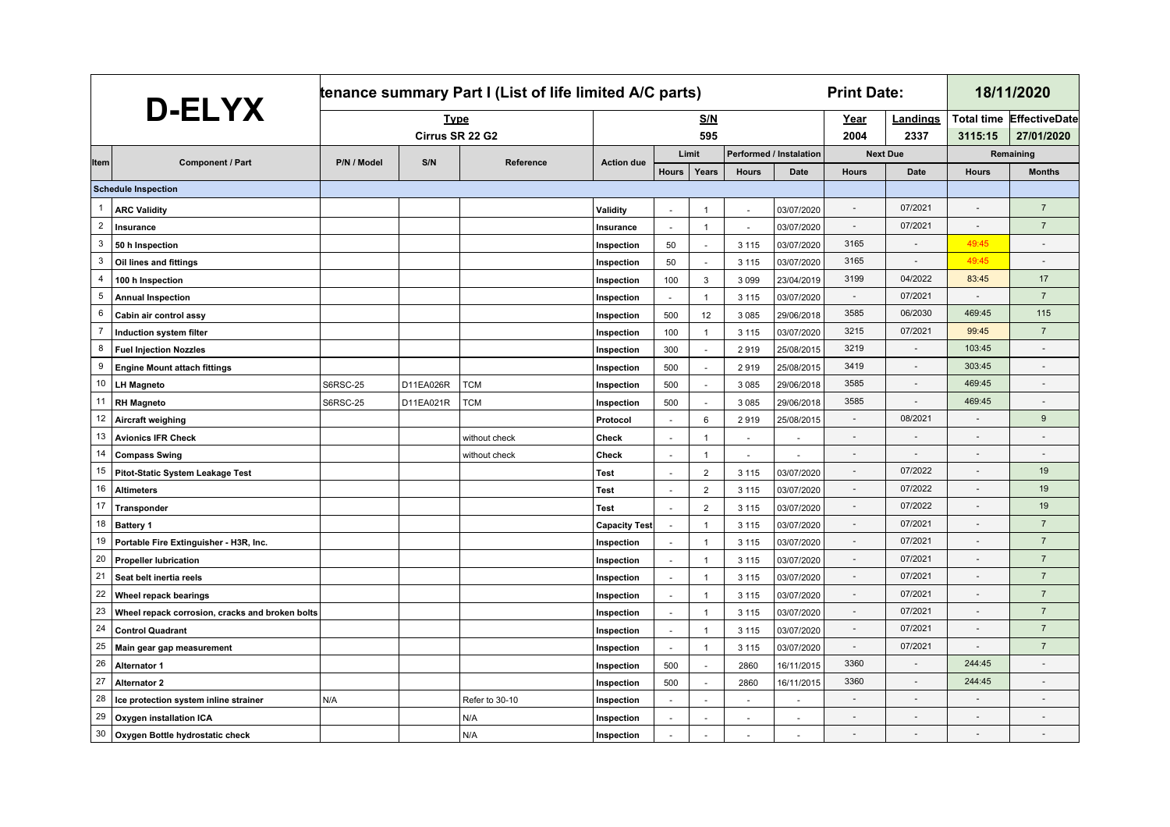| D-ELYX         |                                                 | tenance summary Part I (List of life limited A/C parts) |           |                |                      |                          |                          |              | <b>Print Date:</b>             |                          | 18/11/2020       |                          |                                               |
|----------------|-------------------------------------------------|---------------------------------------------------------|-----------|----------------|----------------------|--------------------------|--------------------------|--------------|--------------------------------|--------------------------|------------------|--------------------------|-----------------------------------------------|
|                |                                                 | <b>Type</b><br>Cirrus SR 22 G2                          |           |                |                      |                          | <b>S/N</b><br>595        |              |                                | Year<br>2004             | Landings<br>2337 | 3115:15                  | <b>Total time EffectiveDate</b><br>27/01/2020 |
|                |                                                 |                                                         |           |                |                      | Limit                    |                          |              | <b>Performed / Instalation</b> | <b>Next Due</b>          |                  | Remaining                |                                               |
| Item           | <b>Component / Part</b>                         | P/N / Model                                             | S/N       | Reference      | <b>Action due</b>    | <b>Hours</b>             | Years                    | <b>Hours</b> | <b>Date</b>                    | <b>Hours</b>             | <b>Date</b>      | <b>Hours</b>             | <b>Months</b>                                 |
|                | <b>Schedule Inspection</b>                      |                                                         |           |                |                      |                          |                          |              |                                |                          |                  |                          |                                               |
| 1              | <b>ARC Validity</b>                             |                                                         |           |                | Validity             | $\overline{\phantom{a}}$ | $\overline{1}$           |              | 03/07/2020                     |                          | 07/2021          |                          | $\overline{7}$                                |
| $\overline{2}$ | Insurance                                       |                                                         |           |                | Insurance            | $\sim$                   | $\mathbf{1}$             | $\sim$       | 03/07/2020                     | $\blacksquare$           | 07/2021          | $\overline{a}$           | $\overline{7}$                                |
| 3              | 50 h Inspection                                 |                                                         |           |                | Inspection           | 50                       | $\sim$                   | 3 1 1 5      | 03/07/2020                     | 3165                     |                  | 49:45                    | $\blacksquare$                                |
| 3              | Oil lines and fittings                          |                                                         |           |                | Inspection           | 50                       |                          | 3 1 1 5      | 03/07/2020                     | 3165                     |                  | 49:45                    |                                               |
| 4              | 100 h Inspection                                |                                                         |           |                | Inspection           | 100                      | 3                        | 3 0 9 9      | 23/04/2019                     | 3199                     | 04/2022          | 83:45                    | 17                                            |
| 5              | <b>Annual Inspection</b>                        |                                                         |           |                | Inspection           | $\sim$                   | $\overline{1}$           | 3 1 1 5      | 03/07/2020                     | $\overline{\phantom{a}}$ | 07/2021          | $\omega$                 | $\overline{7}$                                |
| 6              | Cabin air control assy                          |                                                         |           |                | Inspection           | 500                      | 12                       | 3 0 8 5      | 29/06/2018                     | 3585                     | 06/2030          | 469:45                   | 115                                           |
| $\overline{7}$ | Induction system filter                         |                                                         |           |                | Inspection           | 100                      | $\overline{1}$           | 3 1 1 5      | 03/07/2020                     | 3215                     | 07/2021          | 99:45                    | $\overline{7}$                                |
| 8              | <b>Fuel Injection Nozzles</b>                   |                                                         |           |                | Inspection           | 300                      |                          | 2919         | 25/08/2015                     | 3219                     |                  | 103:45                   |                                               |
| 9              | <b>Engine Mount attach fittings</b>             |                                                         |           |                | Inspection           | 500                      |                          | 2919         | 25/08/2015                     | 3419                     |                  | 303:45                   |                                               |
| 10             | <b>LH Magneto</b>                               | <b>S6RSC-25</b>                                         | D11EA026R | <b>TCM</b>     | Inspection           | 500                      | $\sim$                   | 3 0 8 5      | 29/06/2018                     | 3585                     | $\sim$           | 469:45                   | $\overline{a}$                                |
| 11             | <b>RH Magneto</b>                               | <b>S6RSC-25</b>                                         | D11EA021R | TCM            | Inspection           | 500                      |                          | 3 0 8 5      | 29/06/2018                     | 3585                     |                  | 469:45                   | ÷,                                            |
| 12             | Aircraft weighing                               |                                                         |           |                | Protocol             | L.                       | 6                        | 2919         | 25/08/2015                     | $\overline{a}$           | 08/2021          |                          | 9                                             |
| 13             | <b>Avionics IFR Check</b>                       |                                                         |           | without check  | Check                | $\sim$                   | $\mathbf{1}$             | ÷.           |                                | $\sim$                   | $\sim$           | $\overline{\phantom{a}}$ | $\blacksquare$                                |
| 14             | <b>Compass Swing</b>                            |                                                         |           | without check  | Check                | $\sim$                   | $\mathbf 1$              | $\sim$       |                                | $\sim$                   | $\sim$           | $\blacksquare$           | $\blacksquare$                                |
| 15             | Pitot-Static System Leakage Test                |                                                         |           |                | Test                 | $\sim$                   | $\overline{2}$           | 3 1 1 5      | 03/07/2020                     | $\centerdot$             | 07/2022          | $\centerdot$             | 19                                            |
| 16             | <b>Altimeters</b>                               |                                                         |           |                | Test                 | $\sim$                   | $\overline{2}$           | 3 1 1 5      | 03/07/2020                     | $\overline{\phantom{a}}$ | 07/2022          | $\overline{\phantom{a}}$ | 19                                            |
| 17             | Transponder                                     |                                                         |           |                | Test                 | $\mathbf{r}$             | $\overline{2}$           | 3 1 1 5      | 03/07/2020                     |                          | 07/2022          |                          | 19                                            |
| 18             | <b>Battery 1</b>                                |                                                         |           |                | <b>Capacity Test</b> | $\sim$                   | $\overline{1}$           | 3 1 1 5      | 03/07/2020                     |                          | 07/2021          |                          | $\overline{7}$                                |
| 19             | Portable Fire Extinguisher - H3R, Inc.          |                                                         |           |                | Inspection           | $\omega$                 | $\overline{1}$           | 3 1 1 5      | 03/07/2020                     |                          | 07/2021          |                          | $\overline{7}$                                |
| 20             | <b>Propeller lubrication</b>                    |                                                         |           |                | Inspection           | $\sim$                   | $\overline{1}$           | 3 1 1 5      | 03/07/2020                     | $\sim$                   | 07/2021          | $\overline{\phantom{a}}$ | $\overline{7}$                                |
| 21             | Seat belt inertia reels                         |                                                         |           |                | Inspection           | $\omega$                 | $\overline{1}$           | 3 1 1 5      | 03/07/2020                     | $\overline{a}$           | 07/2021          | $\overline{\phantom{a}}$ | $\overline{7}$                                |
| 22             | Wheel repack bearings                           |                                                         |           |                | Inspection           | $\sim$                   | $\overline{1}$           | 3 1 1 5      | 03/07/2020                     | $\sim$                   | 07/2021          |                          | $\overline{7}$                                |
| 23             | Wheel repack corrosion, cracks and broken bolts |                                                         |           |                | Inspection           | $\sim$                   | $\overline{1}$           | 3 1 1 5      | 03/07/2020                     | $\overline{\phantom{a}}$ | 07/2021          | $\sim$                   | $\overline{7}$                                |
| 24             | <b>Control Quadrant</b>                         |                                                         |           |                | Inspection           | $\omega$                 | $\overline{1}$           | 3 1 1 5      | 03/07/2020                     | $\overline{a}$           | 07/2021          | $\overline{a}$           | $\overline{7}$                                |
| 25             | Main gear gap measurement                       |                                                         |           |                | Inspection           | $\omega$                 | $\overline{1}$           | 3 1 1 5      | 03/07/2020                     | $\sim$                   | 07/2021          |                          | $\overline{7}$                                |
| 26             | <b>Alternator 1</b>                             |                                                         |           |                | Inspection           | 500                      | $\sim$                   | 2860         | 16/11/2015                     | 3360                     | $\sim$           | 244:45                   |                                               |
| 27             | <b>Alternator 2</b>                             |                                                         |           |                | Inspection           | 500                      | $\overline{\phantom{a}}$ | 2860         | 16/11/2015                     | 3360                     | $\sim$           | 244:45                   | ٠                                             |
| 28             | Ice protection system inline strainer           | N/A                                                     |           | Refer to 30-10 | Inspection           | $\overline{\phantom{a}}$ |                          |              |                                |                          | $\sim$           | $\overline{\phantom{a}}$ |                                               |
| 29             | Oxygen installation ICA                         |                                                         |           | N/A            | Inspection           | $\overline{\phantom{a}}$ |                          | $\sim$       |                                |                          |                  | $\overline{\phantom{a}}$ |                                               |
| 30             | Oxygen Bottle hydrostatic check                 |                                                         |           | N/A            | Inspection           |                          |                          |              |                                |                          |                  |                          |                                               |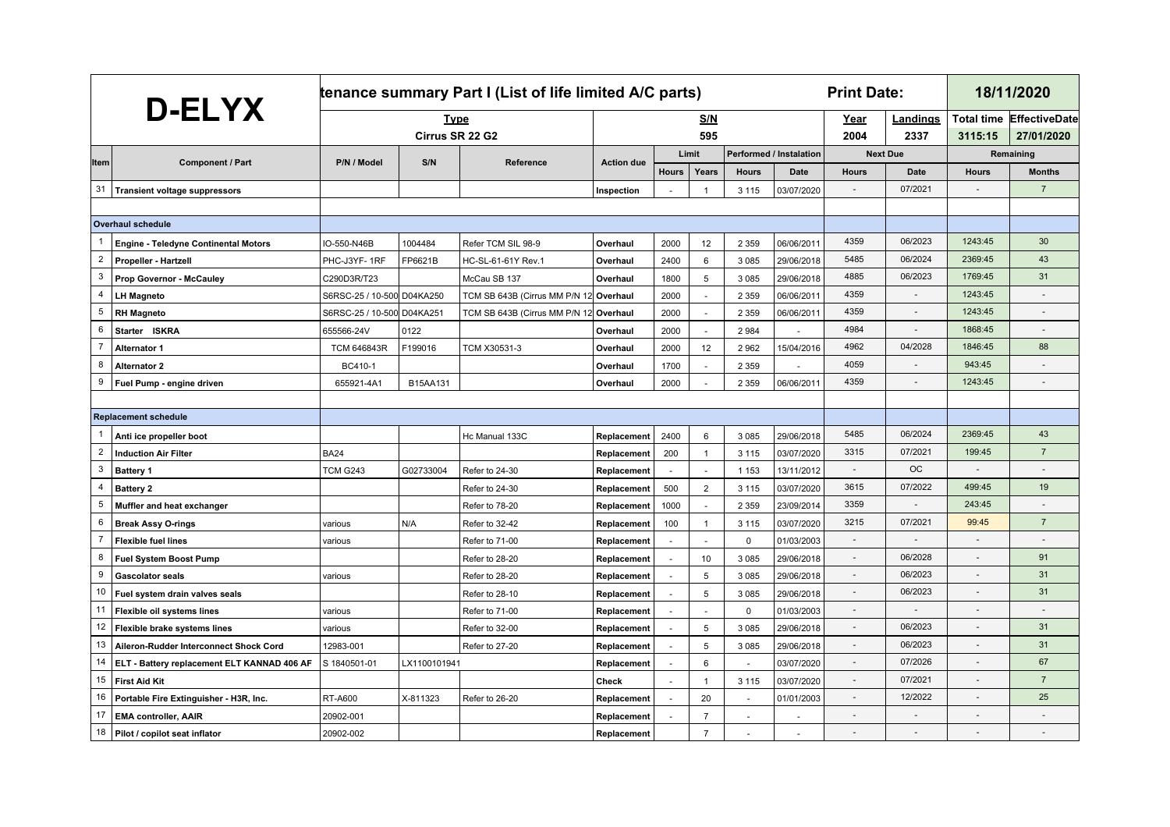| <b>D-ELYX</b>  |                                             | tenance summary Part I (List of life limited A/C parts) |              |                                        |                   |              |                | <b>Print Date:</b> |                                | 18/11/2020               |                 |                          |                      |
|----------------|---------------------------------------------|---------------------------------------------------------|--------------|----------------------------------------|-------------------|--------------|----------------|--------------------|--------------------------------|--------------------------|-----------------|--------------------------|----------------------|
|                |                                             |                                                         | <b>Type</b>  |                                        |                   |              | <b>S/N</b>     |                    |                                | Year                     | <u>Landings</u> | <b>Total time</b>        | <b>EffectiveDate</b> |
|                |                                             | Cirrus SR 22 G2                                         |              |                                        | 595               |              |                |                    |                                | 2004                     | 2337            | 3115:15                  | 27/01/2020           |
| ltem           | <b>Component / Part</b>                     | P/N / Model                                             | S/N          | Reference                              | <b>Action due</b> |              | Limit          |                    | <b>Performed / Instalation</b> | <b>Next Due</b>          |                 | Remaining                |                      |
|                |                                             |                                                         |              |                                        |                   | <b>Hours</b> | Years          | <b>Hours</b>       | Date                           | <b>Hours</b>             | Date            | <b>Hours</b>             | <b>Months</b>        |
| 31             | <b>Transient voltage suppressors</b>        |                                                         |              |                                        | Inspection        |              | $\overline{1}$ | 3 1 1 5            | 03/07/2020                     |                          | 07/2021         |                          | $\overline{7}$       |
|                |                                             |                                                         |              |                                        |                   |              |                |                    |                                |                          |                 |                          |                      |
|                | <b>Overhaul schedule</b>                    |                                                         |              |                                        |                   |              |                |                    |                                |                          |                 |                          |                      |
|                | <b>Engine - Teledyne Continental Motors</b> | IO-550-N46B                                             | 1004484      | Refer TCM SIL 98-9                     | Overhaul          | 2000         | 12             | 2 3 5 9            | 06/06/2011                     | 4359                     | 06/2023         | 1243:45                  | 30                   |
| $\overline{2}$ | Propeller - Hartzell                        | PHC-J3YF-1RF                                            | FP6621B      | HC-SL-61-61Y Rev.1                     | Overhaul          | 2400         | 6              | 3 0 8 5            | 29/06/2018                     | 5485                     | 06/2024         | 2369:45                  | 43                   |
| 3              | Prop Governor - McCauley                    | C290D3R/T23                                             |              | McCau SB 137                           | Overhaul          | 1800         | 5              | 3 0 8 5            | 29/06/2018                     | 4885                     | 06/2023         | 1769:45                  | 31                   |
| $\overline{4}$ | <b>LH Magneto</b>                           | S6RSC-25 / 10-500 D04KA250                              |              | TCM SB 643B (Cirrus MM P/N 12 Overhaul |                   | 2000         | $\sim$         | 2 3 5 9            | 06/06/201                      | 4359                     | $\sim$          | 1243:45                  |                      |
| 5              | <b>RH Magneto</b>                           | S6RSC-25 / 10-500 D04KA251                              |              | TCM SB 643B (Cirrus MM P/N 12 Overhaul |                   | 2000         |                | 2 3 5 9            | 06/06/201                      | 4359                     | $\sim$          | 1243:45                  |                      |
| 6              | Starter ISKRA                               | 655566-24V                                              | 0122         |                                        | Overhaul          | 2000         | $\sim$         | 2984               |                                | 4984                     |                 | 1868:45                  |                      |
| $\overline{7}$ | <b>Alternator 1</b>                         | <b>TCM 646843R</b>                                      | F199016      | TCM X30531-3                           | Overhaul          | 2000         | 12             | 2962               | 15/04/2016                     | 4962                     | 04/2028         | 1846:45                  | 88                   |
| 8              | <b>Alternator 2</b>                         | BC410-1                                                 |              |                                        | Overhaul          | 1700         | $\sim$         | 2 3 5 9            |                                | 4059                     |                 | 943:45                   |                      |
| 9              | Fuel Pump - engine driven                   | 655921-4A1                                              | B15AA131     |                                        | Overhaul          | 2000         |                | 2 3 5 9            | 06/06/2011                     | 4359                     | $\sim$          | 1243:45                  | $\overline{a}$       |
|                |                                             |                                                         |              |                                        |                   |              |                |                    |                                |                          |                 |                          |                      |
|                | <b>Replacement schedule</b>                 |                                                         |              |                                        |                   |              |                |                    |                                |                          |                 |                          |                      |
|                | Anti ice propeller boot                     |                                                         |              | Hc Manual 133C                         | Replacement       | 2400         | 6              | 3 0 8 5            | 29/06/2018                     | 5485                     | 06/2024         | 2369:45                  | 43                   |
| $\overline{2}$ | <b>Induction Air Filter</b>                 | <b>BA24</b>                                             |              |                                        | Replacement       | 200          | $\mathbf{1}$   | 3 1 1 5            | 03/07/2020                     | 3315                     | 07/2021         | 199:45                   | $\overline{7}$       |
| 3              | <b>Battery 1</b>                            | <b>TCM G243</b>                                         | G02733004    | Refer to 24-30                         | Replacement       | $\sim$       | $\sim$         | 1 1 5 3            | 13/11/2012                     |                          | <b>OC</b>       | $\blacksquare$           |                      |
| 4              | <b>Battery 2</b>                            |                                                         |              | Refer to 24-30                         | Replacement       | 500          | $\sqrt{2}$     | 3 1 1 5            | 03/07/2020                     | 3615                     | 07/2022         | 499:45                   | 19                   |
| 5              | Muffler and heat exchanger                  |                                                         |              | Refer to 78-20                         | Replacement       | 1000         |                | 2 3 5 9            | 23/09/2014                     | 3359                     |                 | 243:45                   |                      |
| 6              | <b>Break Assy O-rings</b>                   | various                                                 | N/A          | Refer to 32-42                         | Replacement       | 100          | $\overline{1}$ | 3 1 1 5            | 03/07/2020                     | 3215                     | 07/2021         | 99:45                    | $\overline{7}$       |
| $\overline{7}$ | <b>Flexible fuel lines</b>                  | various                                                 |              | Refer to 71-00                         | Replacement       | $\omega$     |                | $\mathbf 0$        | 01/03/2003                     |                          |                 | $\overline{a}$           |                      |
| 8              | <b>Fuel System Boost Pump</b>               |                                                         |              | Refer to 28-20                         | Replacement       | $\sim$       | 10             | 3 0 8 5            | 29/06/2018                     | $\overline{\phantom{a}}$ | 06/2028         |                          | 91                   |
| 9              | <b>Gascolator seals</b>                     | various                                                 |              | Refer to 28-20                         | Replacement       | $\sim$       | 5              | 3 0 8 5            | 29/06/2018                     | $\blacksquare$           | 06/2023         |                          | 31                   |
| 10             | Fuel system drain valves seals              |                                                         |              | Refer to 28-10                         | Replacement       | $\sim$       | 5              | 3 0 8 5            | 29/06/2018                     | $\blacksquare$           | 06/2023         |                          | 31                   |
| 11             | Flexible oil systems lines                  | various                                                 |              | Refer to 71-00                         | Replacement       | $\sim$       |                | $\mathbf 0$        | 01/03/2003                     | $\blacksquare$           |                 |                          |                      |
| 12             | Flexible brake systems lines                | various                                                 |              | Refer to 32-00                         | Replacement       | $\sim$       | 5              | 3 0 8 5            | 29/06/2018                     |                          | 06/2023         |                          | 31                   |
| 13             | Aileron-Rudder Interconnect Shock Cord      | 12983-001                                               |              | Refer to 27-20                         | Replacement       | $\sim$       | 5              | 3 0 8 5            | 29/06/2018                     |                          | 06/2023         |                          | 31                   |
| 14             | ELT - Battery replacement ELT KANNAD 406 AF | S 1840501-01                                            | LX1100101941 |                                        | Replacement       | $\sim$       | 6              | $\sim$             | 03/07/2020                     |                          | 07/2026         |                          | 67                   |
| 15             | <b>First Aid Kit</b>                        |                                                         |              |                                        | Check             | $\sim$       | $\overline{1}$ | 3 1 1 5            | 03/07/2020                     | $\sim$                   | 07/2021         | $\sim$                   | $\overline{7}$       |
| 16             | Portable Fire Extinguisher - H3R, Inc.      | <b>RT-A600</b>                                          | X-811323     | Refer to 26-20                         | Replacement       |              | 20             |                    | 01/01/2003                     | ÷,                       | 12/2022         | $\overline{\phantom{a}}$ | 25                   |
| 17             | <b>EMA controller, AAIR</b>                 | 20902-001                                               |              |                                        | Replacement       |              | $\overline{7}$ |                    |                                |                          |                 |                          |                      |
| 18             | Pilot / copilot seat inflator               | 20902-002                                               |              |                                        | Replacement       |              | $\overline{7}$ |                    |                                |                          |                 |                          |                      |